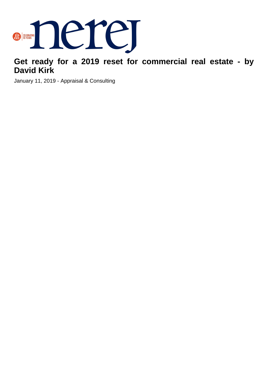

## **Get ready for a 2019 reset for commercial real estate - by David Kirk**

January 11, 2019 - Appraisal & Consulting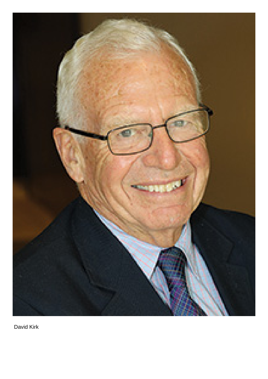

David Kirk